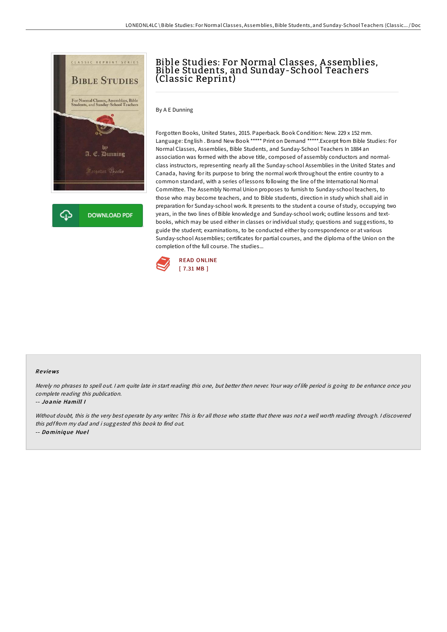

## Bible Studies: For Normal Classes, A ssemblies, Bible Students, and Sunday-School Teachers (Classic Reprint)

By A E Dunning

Forgotten Books, United States, 2015. Paperback. Book Condition: New. 229 x 152 mm. Language: English . Brand New Book \*\*\*\*\* Print on Demand \*\*\*\*\*.Excerpt from Bible Studies: For Normal Classes, Assemblies, Bible Students, and Sunday-School Teachers In 1884 an association was formed with the above title, composed of assembly conductors and normalclass instructors, representing nearly all the Sunday-school Assemblies in the United States and Canada, having for its purpose to bring the normal work throughout the entire country to a common standard, with a series of lessons following the line of the International Normal Committee. The Assembly Normal Union proposes to furnish to Sunday-school teachers, to those who may become teachers, and to Bible students, direction in study which shall aid in preparation for Sunday-school work. It presents to the student a course of study, occupying two years, in the two lines of Bible knowledge and Sunday-school work; outline lessons and textbooks, which may be used either in classes or individual study; questions and suggestions, to guide the student; examinations, to be conducted either by correspondence or at various Sunday-school Assemblies; certificates for partial courses, and the diploma of the Union on the completion of the full course. The studies...



### Re views

Merely no phrases to spell out. <sup>I</sup> am quite late in start reading this one, but better then never. Your way of life period is going to be enhance once you complete reading this publication.

#### -- Jo anie Hamill I

Without doubt, this is the very best operate by any writer. This is for all those who statte that there was not <sup>a</sup> well worth reading through. <sup>I</sup> discovered this pdf from my dad and i suggested this book to find out. -- Do miniq ue Hue l